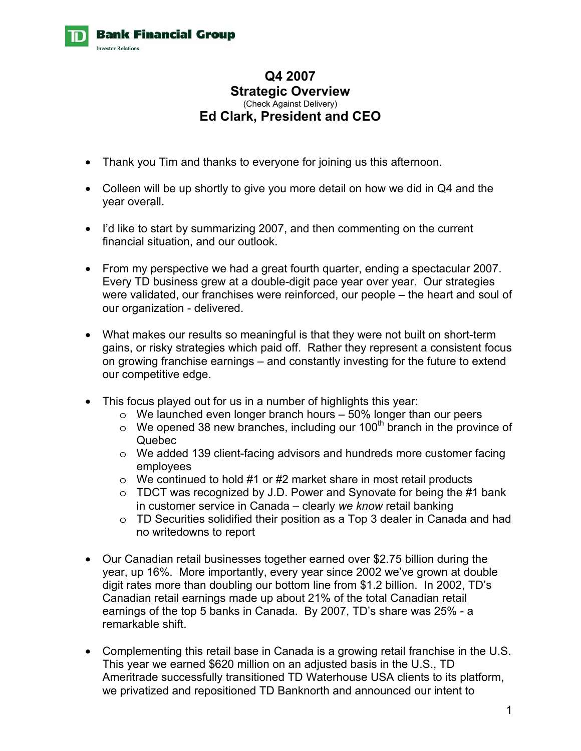

## **Q4 2007 Strategic Overview**  (Check Against Delivery) **Ed Clark, President and CEO**

- Thank you Tim and thanks to everyone for joining us this afternoon.
- Colleen will be up shortly to give you more detail on how we did in Q4 and the year overall.
- I'd like to start by summarizing 2007, and then commenting on the current financial situation, and our outlook.
- From my perspective we had a great fourth quarter, ending a spectacular 2007. Every TD business grew at a double-digit pace year over year. Our strategies were validated, our franchises were reinforced, our people – the heart and soul of our organization - delivered.
- What makes our results so meaningful is that they were not built on short-term gains, or risky strategies which paid off. Rather they represent a consistent focus on growing franchise earnings – and constantly investing for the future to extend our competitive edge.
- This focus played out for us in a number of highlights this year:
	- $\circ$  We launched even longer branch hours  $-50\%$  longer than our peers
	- $\circ$  We opened 38 new branches, including our 100<sup>th</sup> branch in the province of Quebec
	- o We added 139 client-facing advisors and hundreds more customer facing employees
	- o We continued to hold #1 or #2 market share in most retail products
	- $\circ$  TDCT was recognized by J.D. Power and Synovate for being the #1 bank in customer service in Canada – clearly *we know* retail banking
	- o TD Securities solidified their position as a Top 3 dealer in Canada and had no writedowns to report
- Our Canadian retail businesses together earned over \$2.75 billion during the year, up 16%. More importantly, every year since 2002 we've grown at double digit rates more than doubling our bottom line from \$1.2 billion. In 2002, TD's Canadian retail earnings made up about 21% of the total Canadian retail earnings of the top 5 banks in Canada. By 2007, TD's share was 25% - a remarkable shift.
- Complementing this retail base in Canada is a growing retail franchise in the U.S. This year we earned \$620 million on an adjusted basis in the U.S., TD Ameritrade successfully transitioned TD Waterhouse USA clients to its platform, we privatized and repositioned TD Banknorth and announced our intent to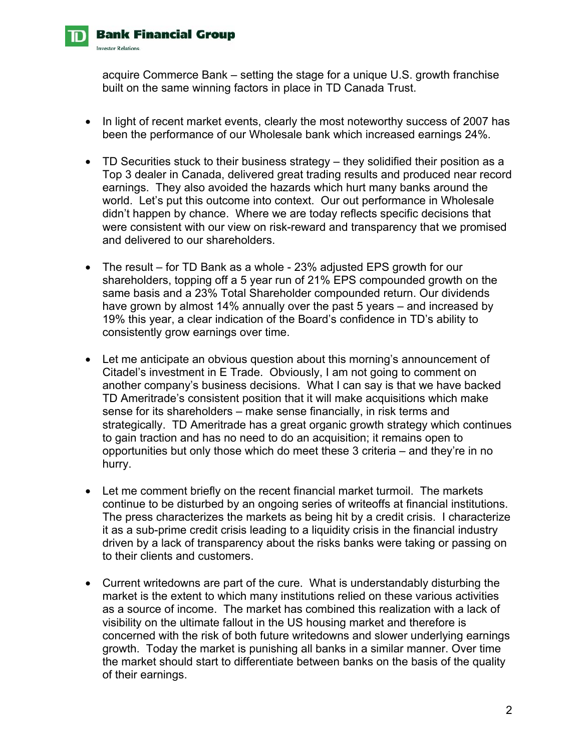

acquire Commerce Bank – setting the stage for a unique U.S. growth franchise built on the same winning factors in place in TD Canada Trust.

- In light of recent market events, clearly the most noteworthy success of 2007 has been the performance of our Wholesale bank which increased earnings 24%.
- TD Securities stuck to their business strategy they solidified their position as a Top 3 dealer in Canada, delivered great trading results and produced near record earnings. They also avoided the hazards which hurt many banks around the world. Let's put this outcome into context. Our out performance in Wholesale didn't happen by chance. Where we are today reflects specific decisions that were consistent with our view on risk-reward and transparency that we promised and delivered to our shareholders.
- The result for TD Bank as a whole 23% adjusted EPS growth for our shareholders, topping off a 5 year run of 21% EPS compounded growth on the same basis and a 23% Total Shareholder compounded return. Our dividends have grown by almost 14% annually over the past 5 years – and increased by 19% this year, a clear indication of the Board's confidence in TD's ability to consistently grow earnings over time.
- Let me anticipate an obvious question about this morning's announcement of Citadel's investment in E Trade. Obviously, I am not going to comment on another company's business decisions. What I can say is that we have backed TD Ameritrade's consistent position that it will make acquisitions which make sense for its shareholders – make sense financially, in risk terms and strategically. TD Ameritrade has a great organic growth strategy which continues to gain traction and has no need to do an acquisition; it remains open to opportunities but only those which do meet these 3 criteria – and they're in no hurry.
- Let me comment briefly on the recent financial market turmoil. The markets continue to be disturbed by an ongoing series of writeoffs at financial institutions. The press characterizes the markets as being hit by a credit crisis. I characterize it as a sub-prime credit crisis leading to a liquidity crisis in the financial industry driven by a lack of transparency about the risks banks were taking or passing on to their clients and customers.
- Current writedowns are part of the cure. What is understandably disturbing the market is the extent to which many institutions relied on these various activities as a source of income. The market has combined this realization with a lack of visibility on the ultimate fallout in the US housing market and therefore is concerned with the risk of both future writedowns and slower underlying earnings growth. Today the market is punishing all banks in a similar manner. Over time the market should start to differentiate between banks on the basis of the quality of their earnings.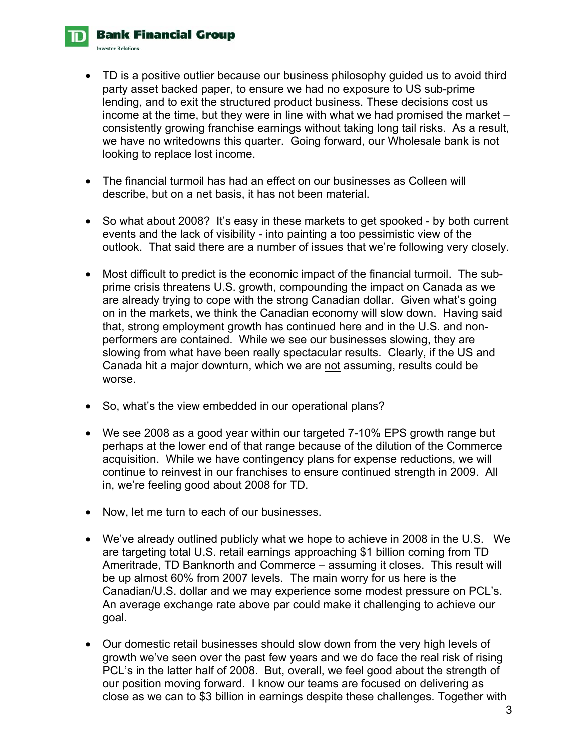**Bank Financial Group Investor Relations** 

- TD is a positive outlier because our business philosophy guided us to avoid third party asset backed paper, to ensure we had no exposure to US sub-prime lending, and to exit the structured product business. These decisions cost us income at the time, but they were in line with what we had promised the market – consistently growing franchise earnings without taking long tail risks. As a result, we have no writedowns this quarter. Going forward, our Wholesale bank is not looking to replace lost income.
- The financial turmoil has had an effect on our businesses as Colleen will describe, but on a net basis, it has not been material.
- So what about 2008? It's easy in these markets to get spooked by both current events and the lack of visibility - into painting a too pessimistic view of the outlook. That said there are a number of issues that we're following very closely.
- Most difficult to predict is the economic impact of the financial turmoil. The subprime crisis threatens U.S. growth, compounding the impact on Canada as we are already trying to cope with the strong Canadian dollar. Given what's going on in the markets, we think the Canadian economy will slow down. Having said that, strong employment growth has continued here and in the U.S. and nonperformers are contained. While we see our businesses slowing, they are slowing from what have been really spectacular results. Clearly, if the US and Canada hit a major downturn, which we are not assuming, results could be worse.
- So, what's the view embedded in our operational plans?
- We see 2008 as a good year within our targeted 7-10% EPS growth range but perhaps at the lower end of that range because of the dilution of the Commerce acquisition. While we have contingency plans for expense reductions, we will continue to reinvest in our franchises to ensure continued strength in 2009. All in, we're feeling good about 2008 for TD.
- Now, let me turn to each of our businesses.
- We've already outlined publicly what we hope to achieve in 2008 in the U.S. We are targeting total U.S. retail earnings approaching \$1 billion coming from TD Ameritrade, TD Banknorth and Commerce – assuming it closes. This result will be up almost 60% from 2007 levels. The main worry for us here is the Canadian/U.S. dollar and we may experience some modest pressure on PCL's. An average exchange rate above par could make it challenging to achieve our goal.
- Our domestic retail businesses should slow down from the very high levels of growth we've seen over the past few years and we do face the real risk of rising PCL's in the latter half of 2008. But, overall, we feel good about the strength of our position moving forward. I know our teams are focused on delivering as close as we can to \$3 billion in earnings despite these challenges. Together with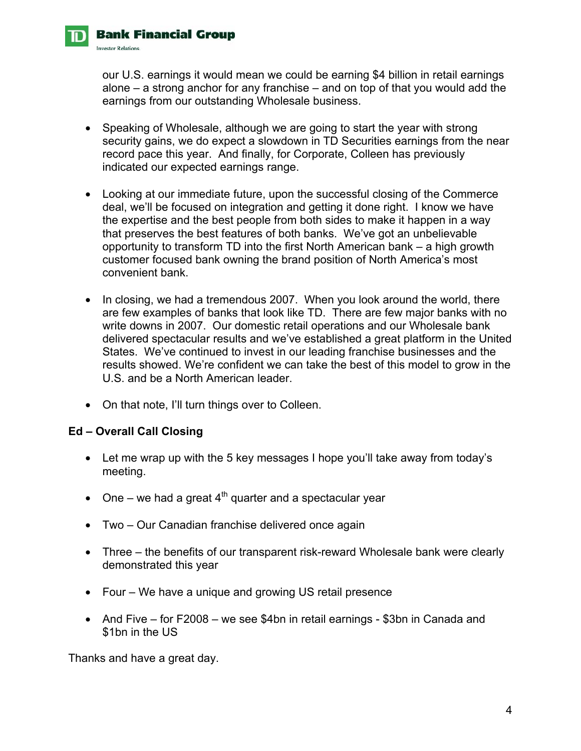our U.S. earnings it would mean we could be earning \$4 billion in retail earnings alone – a strong anchor for any franchise – and on top of that you would add the earnings from our outstanding Wholesale business.

- Speaking of Wholesale, although we are going to start the year with strong security gains, we do expect a slowdown in TD Securities earnings from the near record pace this year. And finally, for Corporate, Colleen has previously indicated our expected earnings range.
- Looking at our immediate future, upon the successful closing of the Commerce deal, we'll be focused on integration and getting it done right. I know we have the expertise and the best people from both sides to make it happen in a way that preserves the best features of both banks. We've got an unbelievable opportunity to transform TD into the first North American bank – a high growth customer focused bank owning the brand position of North America's most convenient bank.
- In closing, we had a tremendous 2007. When you look around the world, there are few examples of banks that look like TD. There are few major banks with no write downs in 2007. Our domestic retail operations and our Wholesale bank delivered spectacular results and we've established a great platform in the United States. We've continued to invest in our leading franchise businesses and the results showed. We're confident we can take the best of this model to grow in the U.S. and be a North American leader.
- On that note, I'll turn things over to Colleen.

## **Ed – Overall Call Closing**

**Bank Financial Group** 

**Investor Relations** 

- Let me wrap up with the 5 key messages I hope you'll take away from today's meeting.
- One we had a great  $4<sup>th</sup>$  quarter and a spectacular year
- Two Our Canadian franchise delivered once again
- Three the benefits of our transparent risk-reward Wholesale bank were clearly demonstrated this year
- Four We have a unique and growing US retail presence
- And Five for F2008 we see \$4bn in retail earnings \$3bn in Canada and \$1bn in the US

Thanks and have a great day.